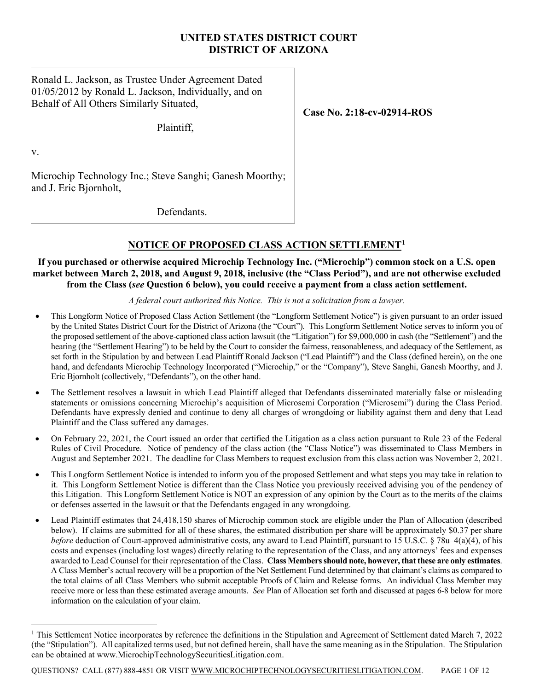# **UNITED STATES DISTRICT COURT DISTRICT OF ARIZONA**

Ronald L. Jackson, as Trustee Under Agreement Dated 01/05/2012 by Ronald L. Jackson, Individually, and on Behalf of All Others Similarly Situated,

Plaintiff,

**Case No. 2:18-cv-02914-ROS**

v.

Microchip Technology Inc.; Steve Sanghi; Ganesh Moorthy; and J. Eric Bjornholt,

Defendants.

# **NOTICE OF PROPOSED CLASS ACTION SETTLEMENT[1](#page-0-0)**

# **If you purchased or otherwise acquired Microchip Technology Inc. ("Microchip") common stock on a U.S. open market between March 2, 2018, and August 9, 2018, inclusive (the "Class Period"), and are not otherwise excluded from the Class (***see* **Question 6 below), you could receive a payment from a class action settlement.**

# *A federal court authorized this Notice. This is not a solicitation from a lawyer.*

- This Longform Notice of Proposed Class Action Settlement (the "Longform Settlement Notice") is given pursuant to an order issued by the United States District Court for the District of Arizona (the "Court"). This Longform Settlement Notice serves to inform you of the proposed settlement of the above-captioned class action lawsuit (the "Litigation") for \$9,000,000 in cash (the "Settlement") and the hearing (the "Settlement Hearing") to be held by the Court to consider the fairness, reasonableness, and adequacy of the Settlement, as set forth in the Stipulation by and between Lead Plaintiff Ronald Jackson ("Lead Plaintiff") and the Class (defined herein), on the one hand, and defendants Microchip Technology Incorporated ("Microchip," or the "Company"), Steve Sanghi, Ganesh Moorthy, and J. Eric Bjornholt (collectively, "Defendants"), on the other hand.
- The Settlement resolves a lawsuit in which Lead Plaintiff alleged that Defendants disseminated materially false or misleading statements or omissions concerning Microchip's acquisition of Microsemi Corporation ("Microsemi") during the Class Period. Defendants have expressly denied and continue to deny all charges of wrongdoing or liability against them and deny that Lead Plaintiff and the Class suffered any damages.
- On February 22, 2021, the Court issued an order that certified the Litigation as a class action pursuant to Rule 23 of the Federal Rules of Civil Procedure. Notice of pendency of the class action (the "Class Notice") was disseminated to Class Members in August and September 2021. The deadline for Class Members to request exclusion from this class action was November 2, 2021.
- This Longform Settlement Notice is intended to inform you of the proposed Settlement and what steps you may take in relation to it. This Longform Settlement Notice is different than the Class Notice you previously received advising you of the pendency of this Litigation. This Longform Settlement Notice is NOT an expression of any opinion by the Court as to the merits of the claims or defenses asserted in the lawsuit or that the Defendants engaged in any wrongdoing.
- Lead Plaintiff estimates that 24,418,150 shares of Microchip common stock are eligible under the Plan of Allocation (described below). If claims are submitted for all of these shares, the estimated distribution per share will be approximately \$0.37 per share *before* deduction of Court-approved administrative costs, any award to Lead Plaintiff, pursuant to 15 U.S.C. § 78u–4(a)(4), of his costs and expenses (including lost wages) directly relating to the representation of the Class, and any attorneys' fees and expenses awarded to Lead Counsel for their representation of the Class. **Class Members should note, however, that these are only estimates**. A Class Member's actual recovery will be a proportion of the Net Settlement Fund determined by that claimant's claims as compared to the total claims of all Class Members who submit acceptable Proofs of Claim and Release forms. An individual Class Member may receive more or less than these estimated average amounts. *See* Plan of Allocation set forth and discussed at pages 6-8 below for more information on the calculation of your claim.

QUESTIONS? CALL (877) 888-4851 OR VISIT WWW.MICROCHIPTECHNOLOGYSECURITIESLITIGATION.COM. PAGE 1 OF 12

<span id="page-0-0"></span><sup>&</sup>lt;sup>1</sup> This Settlement Notice incorporates by reference the definitions in the Stipulation and Agreement of Settlement dated March 7, 2022 (the "Stipulation"). All capitalized terms used, but not defined herein, shall have the same meaning as in the Stipulation. The Stipulation can be obtained at www.MicrochipTechnologySecuritiesLitigation.com.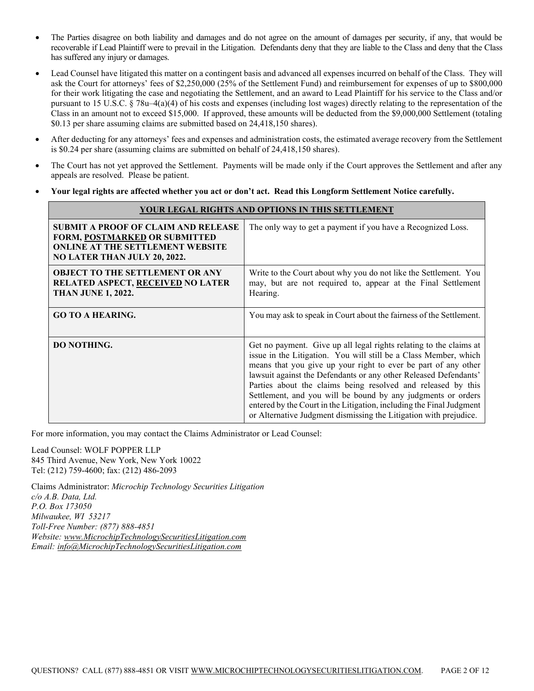- The Parties disagree on both liability and damages and do not agree on the amount of damages per security, if any, that would be recoverable if Lead Plaintiff were to prevail in the Litigation. Defendants deny that they are liable to the Class and deny that the Class has suffered any injury or damages.
- Lead Counsel have litigated this matter on a contingent basis and advanced all expenses incurred on behalf of the Class. They will ask the Court for attorneys' fees of \$2,250,000 (25% of the Settlement Fund) and reimbursement for expenses of up to \$800,000 for their work litigating the case and negotiating the Settlement, and an award to Lead Plaintiff for his service to the Class and/or pursuant to 15 U.S.C. § 78u–4(a)(4) of his costs and expenses (including lost wages) directly relating to the representation of the Class in an amount not to exceed \$15,000. If approved, these amounts will be deducted from the \$9,000,000 Settlement (totaling \$0.13 per share assuming claims are submitted based on 24,418,150 shares).
- After deducting for any attorneys' fees and expenses and administration costs, the estimated average recovery from the Settlement is \$0.24 per share (assuming claims are submitted on behalf of 24,418,150 shares).
- The Court has not yet approved the Settlement. Payments will be made only if the Court approves the Settlement and after any appeals are resolved. Please be patient.
- **Your legal rights are affected whether you act or don't act. Read this Longform Settlement Notice carefully.**

| YOUR LEGAL RIGHTS AND OPTIONS IN THIS SETTLEMENT                                                                                                                     |                                                                                                                                                                                                                                                                                                                                                                                                                                                                                                                                                           |  |  |
|----------------------------------------------------------------------------------------------------------------------------------------------------------------------|-----------------------------------------------------------------------------------------------------------------------------------------------------------------------------------------------------------------------------------------------------------------------------------------------------------------------------------------------------------------------------------------------------------------------------------------------------------------------------------------------------------------------------------------------------------|--|--|
| <b>SUBMIT A PROOF OF CLAIM AND RELEASE</b><br><b>FORM, POSTMARKED OR SUBMITTED</b><br><b>ONLINE AT THE SETTLEMENT WEBSITE</b><br><b>NO LATER THAN JULY 20, 2022.</b> | The only way to get a payment if you have a Recognized Loss.                                                                                                                                                                                                                                                                                                                                                                                                                                                                                              |  |  |
| <b>OBJECT TO THE SETTLEMENT OR ANY</b><br><b>RELATED ASPECT, RECEIVED NO LATER</b><br><b>THAN JUNE 1, 2022.</b>                                                      | Write to the Court about why you do not like the Settlement. You<br>may, but are not required to, appear at the Final Settlement<br>Hearing.                                                                                                                                                                                                                                                                                                                                                                                                              |  |  |
| <b>GO TO A HEARING.</b>                                                                                                                                              | You may ask to speak in Court about the fairness of the Settlement.                                                                                                                                                                                                                                                                                                                                                                                                                                                                                       |  |  |
| <b>DO NOTHING.</b>                                                                                                                                                   | Get no payment. Give up all legal rights relating to the claims at<br>issue in the Litigation. You will still be a Class Member, which<br>means that you give up your right to ever be part of any other<br>lawsuit against the Defendants or any other Released Defendants'<br>Parties about the claims being resolved and released by this<br>Settlement, and you will be bound by any judgments or orders<br>entered by the Court in the Litigation, including the Final Judgment<br>or Alternative Judgment dismissing the Litigation with prejudice. |  |  |

For more information, you may contact the Claims Administrator or Lead Counsel:

Lead Counsel: WOLF POPPER LLP 845 Third Avenue, New York, New York 10022 Tel: (212) 759-4600; fax: (212) 486-2093

Claims Administrator: *Microchip Technology Securities Litigation c/o A.B. Data, Ltd. P.O. Box 173050 Milwaukee, WI 53217 Toll-Free Number: (877) 888-4851 Website: www.MicrochipTechnologySecuritiesLitigation.com Email: info@MicrochipTechnologySecuritiesLitigation.com*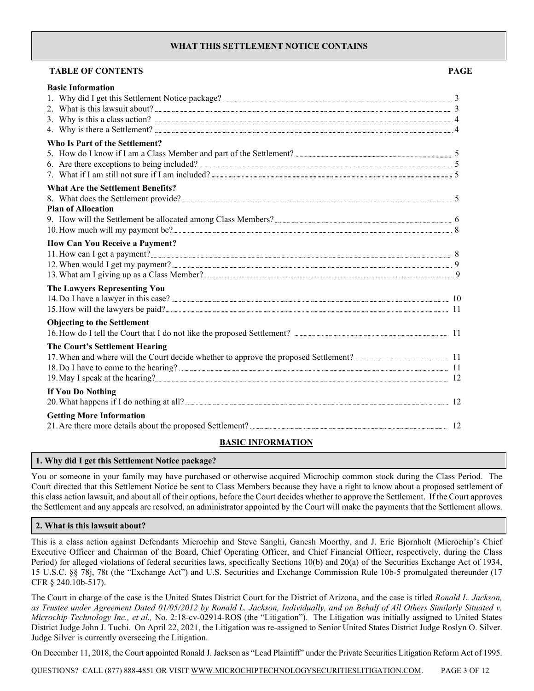### **WHAT THIS SETTLEMENT NOTICE CONTAINS**

| <b>TABLE OF CONTENTS</b>                         | <b>PAGE</b> |
|--------------------------------------------------|-------------|
| <b>Basic Information</b>                         |             |
|                                                  |             |
|                                                  |             |
| <b>Who Is Part of the Settlement?</b>            |             |
|                                                  |             |
|                                                  |             |
| 7. What if I am still not sure if I am included? |             |
| <b>What Are the Settlement Benefits?</b>         |             |
| <b>Plan of Allocation</b>                        |             |
|                                                  |             |
|                                                  |             |
| <b>How Can You Receive a Payment?</b>            |             |
|                                                  |             |
|                                                  |             |
| The Lawyers Representing You                     |             |
|                                                  |             |
|                                                  |             |
| <b>Objecting to the Settlement</b>               |             |
|                                                  |             |
| The Court's Settlement Hearing                   |             |
|                                                  |             |
|                                                  |             |
| If You Do Nothing                                |             |
|                                                  |             |
| <b>Getting More Information</b>                  |             |
|                                                  |             |
|                                                  |             |

### **BASIC INFORMATION**

### **1. Why did I get this Settlement Notice package?**

You or someone in your family may have purchased or otherwise acquired Microchip common stock during the Class Period. The Court directed that this Settlement Notice be sent to Class Members because they have a right to know about a proposed settlement of this class action lawsuit, and about all of their options, before the Court decides whether to approve the Settlement. If the Court approves the Settlement and any appeals are resolved, an administrator appointed by the Court will make the payments that the Settlement allows.

### **2. What is this lawsuit about?**

This is a class action against Defendants Microchip and Steve Sanghi, Ganesh Moorthy, and J. Eric Bjornholt (Microchip's Chief Executive Officer and Chairman of the Board, Chief Operating Officer, and Chief Financial Officer, respectively, during the Class Period) for alleged violations of federal securities laws, specifically Sections 10(b) and 20(a) of the Securities Exchange Act of 1934, 15 U.S.C. §§ 78j, 78t (the "Exchange Act") and U.S. Securities and Exchange Commission Rule 10b-5 promulgated thereunder (17 CFR § 240.10b-517).

The Court in charge of the case is the United States District Court for the District of Arizona, and the case is titled *Ronald L. Jackson, as Trustee under Agreement Dated 01/05/2012 by Ronald L. Jackson, Individually, and on Behalf of All Others Similarly Situated v. Microchip Technology Inc., et al.,* No. 2:18-cv-02914-ROS (the "Litigation"). The Litigation was initially assigned to United States District Judge John J. Tuchi. On April 22, 2021, the Litigation was re-assigned to Senior United States District Judge Roslyn O. Silver. Judge Silver is currently overseeing the Litigation.

On December 11, 2018, the Court appointed Ronald J. Jackson as "Lead Plaintiff" under the Private Securities Litigation Reform Act of 1995.

QUESTIONS? CALL (877) 888-4851 OR VISIT WWW.MICROCHIPTECHNOLOGYSECURITIESLITIGATION.COM. PAGE 3 OF 12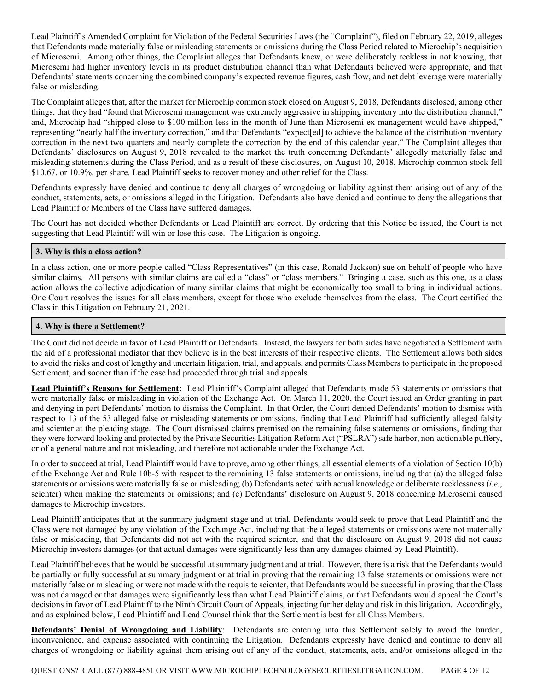Lead Plaintiff's Amended Complaint for Violation of the Federal Securities Laws (the "Complaint"), filed on February 22, 2019, alleges that Defendants made materially false or misleading statements or omissions during the Class Period related to Microchip's acquisition of Microsemi. Among other things, the Complaint alleges that Defendants knew, or were deliberately reckless in not knowing, that Microsemi had higher inventory levels in its product distribution channel than what Defendants believed were appropriate, and that Defendants' statements concerning the combined company's expected revenue figures, cash flow, and net debt leverage were materially false or misleading.

The Complaint alleges that, after the market for Microchip common stock closed on August 9, 2018, Defendants disclosed, among other things, that they had "found that Microsemi management was extremely aggressive in shipping inventory into the distribution channel," and, Microchip had "shipped close to \$100 million less in the month of June than Microsemi ex-management would have shipped," representing "nearly half the inventory correction," and that Defendants "expect[ed] to achieve the balance of the distribution inventory correction in the next two quarters and nearly complete the correction by the end of this calendar year." The Complaint alleges that Defendants' disclosures on August 9, 2018 revealed to the market the truth concerning Defendants' allegedly materially false and misleading statements during the Class Period, and as a result of these disclosures, on August 10, 2018, Microchip common stock fell \$10.67, or 10.9%, per share. Lead Plaintiff seeks to recover money and other relief for the Class.

Defendants expressly have denied and continue to deny all charges of wrongdoing or liability against them arising out of any of the conduct, statements, acts, or omissions alleged in the Litigation. Defendants also have denied and continue to deny the allegations that Lead Plaintiff or Members of the Class have suffered damages.

The Court has not decided whether Defendants or Lead Plaintiff are correct. By ordering that this Notice be issued, the Court is not suggesting that Lead Plaintiff will win or lose this case. The Litigation is ongoing.

### **3. Why is this a class action?**

In a class action, one or more people called "Class Representatives" (in this case, Ronald Jackson) sue on behalf of people who have similar claims. All persons with similar claims are called a "class" or "class members." Bringing a case, such as this one, as a class action allows the collective adjudication of many similar claims that might be economically too small to bring in individual actions. One Court resolves the issues for all class members, except for those who exclude themselves from the class. The Court certified the Class in this Litigation on February 21, 2021.

### **4. Why is there a Settlement?**

The Court did not decide in favor of Lead Plaintiff or Defendants. Instead, the lawyers for both sides have negotiated a Settlement with the aid of a professional mediator that they believe is in the best interests of their respective clients. The Settlement allows both sides to avoid the risks and cost of lengthy and uncertain litigation, trial, and appeals, and permits Class Members to participate in the proposed Settlement, and sooner than if the case had proceeded through trial and appeals.

**Lead Plaintiff's Reasons for Settlement:** Lead Plaintiff's Complaint alleged that Defendants made 53 statements or omissions that were materially false or misleading in violation of the Exchange Act. On March 11, 2020, the Court issued an Order granting in part and denying in part Defendants' motion to dismiss the Complaint. In that Order, the Court denied Defendants' motion to dismiss with respect to 13 of the 53 alleged false or misleading statements or omissions, finding that Lead Plaintiff had sufficiently alleged falsity and scienter at the pleading stage. The Court dismissed claims premised on the remaining false statements or omissions, finding that they were forward looking and protected by the Private Securities Litigation Reform Act ("PSLRA") safe harbor, non-actionable puffery, or of a general nature and not misleading, and therefore not actionable under the Exchange Act.

In order to succeed at trial, Lead Plaintiff would have to prove, among other things, all essential elements of a violation of Section 10(b) of the Exchange Act and Rule 10b-5 with respect to the remaining 13 false statements or omissions, including that (a) the alleged false statements or omissions were materially false or misleading; (b) Defendants acted with actual knowledge or deliberate recklessness (*i.e.*, scienter) when making the statements or omissions; and (c) Defendants' disclosure on August 9, 2018 concerning Microsemi caused damages to Microchip investors.

Lead Plaintiff anticipates that at the summary judgment stage and at trial, Defendants would seek to prove that Lead Plaintiff and the Class were not damaged by any violation of the Exchange Act, including that the alleged statements or omissions were not materially false or misleading, that Defendants did not act with the required scienter, and that the disclosure on August 9, 2018 did not cause Microchip investors damages (or that actual damages were significantly less than any damages claimed by Lead Plaintiff).

Lead Plaintiff believes that he would be successful at summary judgment and at trial. However, there is a risk that the Defendants would be partially or fully successful at summary judgment or at trial in proving that the remaining 13 false statements or omissions were not materially false or misleading or were not made with the requisite scienter, that Defendants would be successful in proving that the Class was not damaged or that damages were significantly less than what Lead Plaintiff claims, or that Defendants would appeal the Court's decisions in favor of Lead Plaintiff to the Ninth Circuit Court of Appeals, injecting further delay and risk in this litigation. Accordingly, and as explained below, Lead Plaintiff and Lead Counsel think that the Settlement is best for all Class Members.

**Defendants' Denial of Wrongdoing and Liability**: Defendants are entering into this Settlement solely to avoid the burden, inconvenience, and expense associated with continuing the Litigation. Defendants expressly have denied and continue to deny all charges of wrongdoing or liability against them arising out of any of the conduct, statements, acts, and/or omissions alleged in the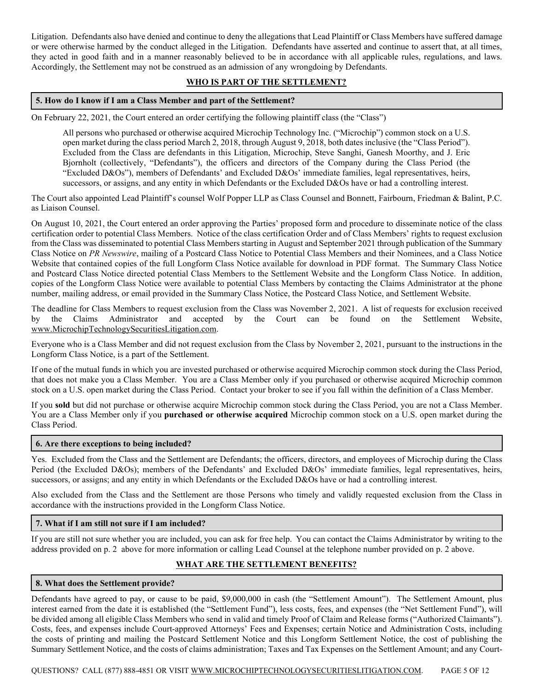Litigation. Defendants also have denied and continue to deny the allegations that Lead Plaintiff or Class Members have suffered damage or were otherwise harmed by the conduct alleged in the Litigation. Defendants have asserted and continue to assert that, at all times, they acted in good faith and in a manner reasonably believed to be in accordance with all applicable rules, regulations, and laws. Accordingly, the Settlement may not be construed as an admission of any wrongdoing by Defendants.

### **WHO IS PART OF THE SETTLEMENT?**

### **5. How do I know if I am a Class Member and part of the Settlement?**

On February 22, 2021, the Court entered an order certifying the following plaintiff class (the "Class")

All persons who purchased or otherwise acquired Microchip Technology Inc. ("Microchip") common stock on a U.S. open market during the class period March 2, 2018, through August 9, 2018, both dates inclusive (the "Class Period"). Excluded from the Class are defendants in this Litigation, Microchip, Steve Sanghi, Ganesh Moorthy, and J. Eric Bjornholt (collectively, "Defendants"), the officers and directors of the Company during the Class Period (the "Excluded D&Os"), members of Defendants' and Excluded D&Os' immediate families, legal representatives, heirs, successors, or assigns, and any entity in which Defendants or the Excluded D&Os have or had a controlling interest.

The Court also appointed Lead Plaintiff's counsel Wolf Popper LLP as Class Counsel and Bonnett, Fairbourn, Friedman & Balint, P.C. as Liaison Counsel.

On August 10, 2021, the Court entered an order approving the Parties' proposed form and procedure to disseminate notice of the class certification order to potential Class Members. Notice of the class certification Order and of Class Members' rights to request exclusion from the Class was disseminated to potential Class Members starting in August and September 2021 through publication of the Summary Class Notice on *PR Newswire*, mailing of a Postcard Class Notice to Potential Class Members and their Nominees, and a Class Notice Website that contained copies of the full Longform Class Notice available for download in PDF format. The Summary Class Notice and Postcard Class Notice directed potential Class Members to the Settlement Website and the Longform Class Notice. In addition, copies of the Longform Class Notice were available to potential Class Members by contacting the Claims Administrator at the phone number, mailing address, or email provided in the Summary Class Notice, the Postcard Class Notice, and Settlement Website.

The deadline for Class Members to request exclusion from the Class was November 2, 2021. A list of requests for exclusion received by the Claims Administrator and accepted by the Court can be found on the Settlement Website, www.MicrochipTechnologySecuritiesLitigation.com.

Everyone who is a Class Member and did not request exclusion from the Class by November 2, 2021, pursuant to the instructions in the Longform Class Notice, is a part of the Settlement.

If one of the mutual funds in which you are invested purchased or otherwise acquired Microchip common stock during the Class Period, that does not make you a Class Member. You are a Class Member only if you purchased or otherwise acquired Microchip common stock on a U.S. open market during the Class Period. Contact your broker to see if you fall within the definition of a Class Member.

If you **sold** but did not purchase or otherwise acquire Microchip common stock during the Class Period, you are not a Class Member. You are a Class Member only if you **purchased or otherwise acquired** Microchip common stock on a U.S. open market during the Class Period.

### **6. Are there exceptions to being included?**

Yes. Excluded from the Class and the Settlement are Defendants; the officers, directors, and employees of Microchip during the Class Period (the Excluded D&Os); members of the Defendants' and Excluded D&Os' immediate families, legal representatives, heirs, successors, or assigns; and any entity in which Defendants or the Excluded D&Os have or had a controlling interest.

Also excluded from the Class and the Settlement are those Persons who timely and validly requested exclusion from the Class in accordance with the instructions provided in the Longform Class Notice.

### **7. What if I am still not sure if I am included?**

If you are still not sure whether you are included, you can ask for free help. You can contact the Claims Administrator by writing to the address provided on p. 2 above for more information or calling Lead Counsel at the telephone number provided on p. 2 above.

## **WHAT ARE THE SETTLEMENT BENEFITS?**

### **8. What does the Settlement provide?**

Defendants have agreed to pay, or cause to be paid, \$9,000,000 in cash (the "Settlement Amount"). The Settlement Amount, plus interest earned from the date it is established (the "Settlement Fund"), less costs, fees, and expenses (the "Net Settlement Fund"), will be divided among all eligible Class Members who send in valid and timely Proof of Claim and Release forms ("Authorized Claimants"). Costs, fees, and expenses include Court-approved Attorneys' Fees and Expenses; certain Notice and Administration Costs, including the costs of printing and mailing the Postcard Settlement Notice and this Longform Settlement Notice, the cost of publishing the Summary Settlement Notice, and the costs of claims administration; Taxes and Tax Expenses on the Settlement Amount; and any Court-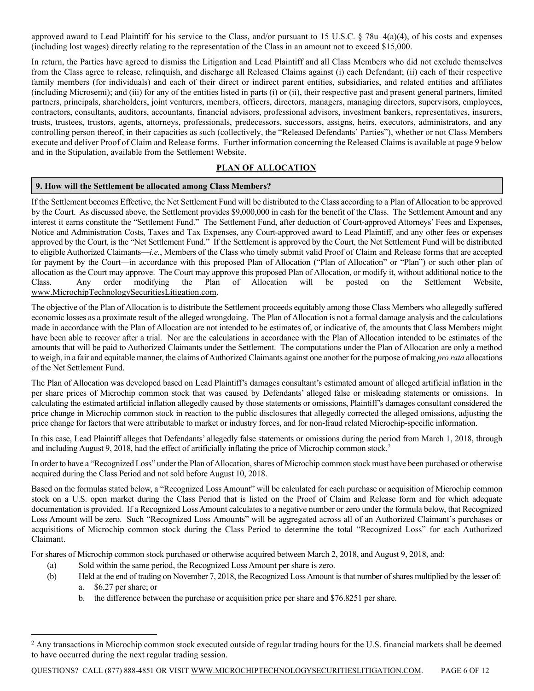approved award to Lead Plaintiff for his service to the Class, and/or pursuant to 15 U.S.C.  $\S$  78u–4(a)(4), of his costs and expenses (including lost wages) directly relating to the representation of the Class in an amount not to exceed \$15,000.

In return, the Parties have agreed to dismiss the Litigation and Lead Plaintiff and all Class Members who did not exclude themselves from the Class agree to release, relinquish, and discharge all Released Claims against (i) each Defendant; (ii) each of their respective family members (for individuals) and each of their direct or indirect parent entities, subsidiaries, and related entities and affiliates (including Microsemi); and (iii) for any of the entities listed in parts (i) or (ii), their respective past and present general partners, limited partners, principals, shareholders, joint venturers, members, officers, directors, managers, managing directors, supervisors, employees, contractors, consultants, auditors, accountants, financial advisors, professional advisors, investment bankers, representatives, insurers, trusts, trustees, trustors, agents, attorneys, professionals, predecessors, successors, assigns, heirs, executors, administrators, and any controlling person thereof, in their capacities as such (collectively, the "Released Defendants' Parties"), whether or not Class Members execute and deliver Proof of Claim and Release forms. Further information concerning the Released Claims is available at page 9 below and in the Stipulation, available from the Settlement Website.

### **PLAN OF ALLOCATION**

### **9. How will the Settlement be allocated among Class Members?**

If the Settlement becomes Effective, the Net Settlement Fund will be distributed to the Class according to a Plan of Allocation to be approved by the Court. As discussed above, the Settlement provides \$9,000,000 in cash for the benefit of the Class. The Settlement Amount and any interest it earns constitute the "Settlement Fund." The Settlement Fund, after deduction of Court-approved Attorneys' Fees and Expenses, Notice and Administration Costs, Taxes and Tax Expenses, any Court-approved award to Lead Plaintiff, and any other fees or expenses approved by the Court, is the "Net Settlement Fund." If the Settlement is approved by the Court, the Net Settlement Fund will be distributed to eligible Authorized Claimants—*i.e.*, Members of the Class who timely submit valid Proof of Claim and Release forms that are accepted for payment by the Court—in accordance with this proposed Plan of Allocation ("Plan of Allocation" or "Plan") or such other plan of allocation as the Court may approve. The Court may approve this proposed Plan of Allocation, or modify it, without additional notice to the Class. Any order modifying the Plan of Allocation will be posted on the Settlement Website, www.MicrochipTechnologySecuritiesLitigation.com.

The objective of the Plan of Allocation is to distribute the Settlement proceeds equitably among those Class Members who allegedly suffered economic losses as a proximate result of the alleged wrongdoing. The Plan of Allocation is not a formal damage analysis and the calculations made in accordance with the Plan of Allocation are not intended to be estimates of, or indicative of, the amounts that Class Members might have been able to recover after a trial. Nor are the calculations in accordance with the Plan of Allocation intended to be estimates of the amounts that will be paid to Authorized Claimants under the Settlement. The computations under the Plan of Allocation are only a method to weigh, in a fair and equitable manner, the claims of Authorized Claimants against one another for the purpose of making *pro rata* allocations of the Net Settlement Fund.

The Plan of Allocation was developed based on Lead Plaintiff's damages consultant's estimated amount of alleged artificial inflation in the per share prices of Microchip common stock that was caused by Defendants' alleged false or misleading statements or omissions. In calculating the estimated artificial inflation allegedly caused by those statements or omissions, Plaintiff's damages consultant considered the price change in Microchip common stock in reaction to the public disclosures that allegedly corrected the alleged omissions, adjusting the price change for factors that were attributable to market or industry forces, and for non-fraud related Microchip-specific information.

In this case, Lead Plaintiff alleges that Defendants' allegedly false statements or omissions during the period from March 1, 2018, through and including August 9, [2](#page-5-0)018, had the effect of artificially inflating the price of Microchip common stock.<sup>2</sup>

In order to have a "Recognized Loss" under the Plan of Allocation, shares of Microchip common stock must have been purchased or otherwise acquired during the Class Period and not sold before August 10, 2018.

Based on the formulas stated below, a "Recognized Loss Amount" will be calculated for each purchase or acquisition of Microchip common stock on a U.S. open market during the Class Period that is listed on the Proof of Claim and Release form and for which adequate documentation is provided. If a Recognized Loss Amount calculates to a negative number or zero under the formula below, that Recognized Loss Amount will be zero. Such "Recognized Loss Amounts" will be aggregated across all of an Authorized Claimant's purchases or acquisitions of Microchip common stock during the Class Period to determine the total "Recognized Loss" for each Authorized Claimant.

For shares of Microchip common stock purchased or otherwise acquired between March 2, 2018, and August 9, 2018, and:

- (a) Sold within the same period, the Recognized Loss Amount per share is zero.
- (b) Held at the end of trading on November 7, 2018, the Recognized Loss Amount is that number of shares multiplied by the lesser of: a. \$6.27 per share; or
	- b. the difference between the purchase or acquisition price per share and \$76.8251 per share.

QUESTIONS? CALL (877) 888-4851 OR VISIT WWW.MICROCHIPTECHNOLOGYSECURITIESLITIGATION.COM. PAGE 6 OF 12

<span id="page-5-0"></span><sup>&</sup>lt;sup>2</sup> Any transactions in Microchip common stock executed outside of regular trading hours for the U.S. financial markets shall be deemed to have occurred during the next regular trading session.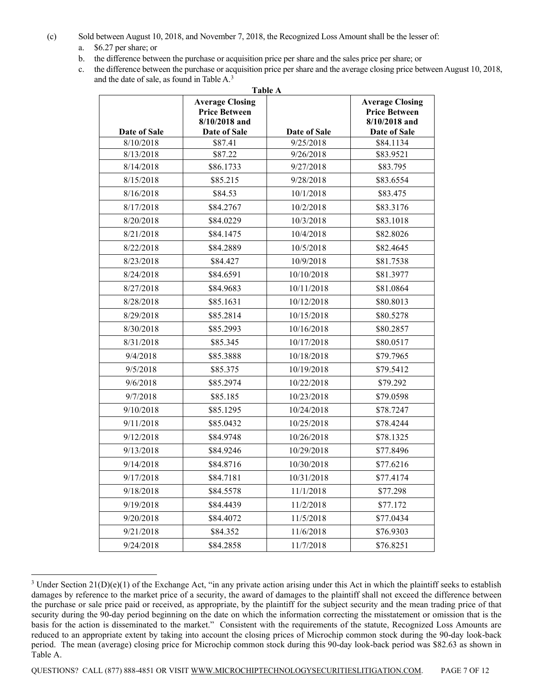(c) Sold between August 10, 2018, and November 7, 2018, the Recognized Loss Amount shall be the lesser of:

- a. \$6.27 per share; or
- b. the difference between the purchase or acquisition price per share and the sales price per share; or
- c. the difference between the purchase or acquisition price per share and the average closing price between August 10, 2018, and the date of sale, as found in Table A.[3](#page-6-0)

| Table A      |                                                                 |              |                                                                 |  |
|--------------|-----------------------------------------------------------------|--------------|-----------------------------------------------------------------|--|
|              | <b>Average Closing</b><br><b>Price Between</b><br>8/10/2018 and |              | <b>Average Closing</b><br><b>Price Between</b><br>8/10/2018 and |  |
| Date of Sale | Date of Sale                                                    | Date of Sale | Date of Sale                                                    |  |
| 8/10/2018    | \$87.41                                                         | 9/25/2018    | \$84.1134                                                       |  |
| 8/13/2018    | \$87.22                                                         | 9/26/2018    | \$83.9521                                                       |  |
| 8/14/2018    | \$86.1733                                                       | 9/27/2018    | \$83.795                                                        |  |
| 8/15/2018    | \$85.215                                                        | 9/28/2018    | \$83.6554                                                       |  |
| 8/16/2018    | \$84.53                                                         | 10/1/2018    | \$83.475                                                        |  |
| 8/17/2018    | \$84.2767                                                       | 10/2/2018    | \$83.3176                                                       |  |
| 8/20/2018    | \$84.0229                                                       | 10/3/2018    | \$83.1018                                                       |  |
| 8/21/2018    | \$84.1475                                                       | 10/4/2018    | \$82.8026                                                       |  |
| 8/22/2018    | \$84.2889                                                       | 10/5/2018    | \$82.4645                                                       |  |
| 8/23/2018    | \$84.427                                                        | 10/9/2018    | \$81.7538                                                       |  |
| 8/24/2018    | \$84.6591                                                       | 10/10/2018   | \$81.3977                                                       |  |
| 8/27/2018    | \$84.9683                                                       | 10/11/2018   | \$81.0864                                                       |  |
| 8/28/2018    | \$85.1631                                                       | 10/12/2018   | \$80.8013                                                       |  |
| 8/29/2018    | \$85.2814                                                       | 10/15/2018   | \$80.5278                                                       |  |
| 8/30/2018    | \$85.2993                                                       | 10/16/2018   | \$80.2857                                                       |  |
| 8/31/2018    | \$85.345                                                        | 10/17/2018   | \$80.0517                                                       |  |
| 9/4/2018     | \$85.3888                                                       | 10/18/2018   | \$79.7965                                                       |  |
| 9/5/2018     | \$85.375                                                        | 10/19/2018   | \$79.5412                                                       |  |
| 9/6/2018     | \$85.2974                                                       | 10/22/2018   | \$79.292                                                        |  |
| 9/7/2018     | \$85.185                                                        | 10/23/2018   | \$79.0598                                                       |  |
| 9/10/2018    | \$85.1295                                                       | 10/24/2018   | \$78.7247                                                       |  |
| 9/11/2018    | \$85.0432                                                       | 10/25/2018   | \$78.4244                                                       |  |
| 9/12/2018    | \$84.9748                                                       | 10/26/2018   | \$78.1325                                                       |  |
| 9/13/2018    | \$84.9246                                                       | 10/29/2018   | \$77.8496                                                       |  |
| 9/14/2018    | \$84.8716                                                       | 10/30/2018   | \$77.6216                                                       |  |
| 9/17/2018    | \$84.7181                                                       | 10/31/2018   | \$77.4174                                                       |  |
| 9/18/2018    | \$84.5578                                                       | 11/1/2018    | \$77.298                                                        |  |
| 9/19/2018    | \$84.4439                                                       | 11/2/2018    | \$77.172                                                        |  |
| 9/20/2018    | \$84.4072                                                       | 11/5/2018    | \$77.0434                                                       |  |
| 9/21/2018    | \$84.352                                                        | 11/6/2018    | \$76.9303                                                       |  |
| 9/24/2018    | \$84.2858                                                       | 11/7/2018    | \$76.8251                                                       |  |

<span id="page-6-0"></span> $3$  Under Section 21(D)(e)(1) of the Exchange Act, "in any private action arising under this Act in which the plaintiff seeks to establish damages by reference to the market price of a security, the award of damages to the plaintiff shall not exceed the difference between the purchase or sale price paid or received, as appropriate, by the plaintiff for the subject security and the mean trading price of that security during the 90-day period beginning on the date on which the information correcting the misstatement or omission that is the basis for the action is disseminated to the market." Consistent with the requirements of the statute, Recognized Loss Amounts are reduced to an appropriate extent by taking into account the closing prices of Microchip common stock during the 90-day look-back period. The mean (average) closing price for Microchip common stock during this 90-day look-back period was \$82.63 as shown in Table A.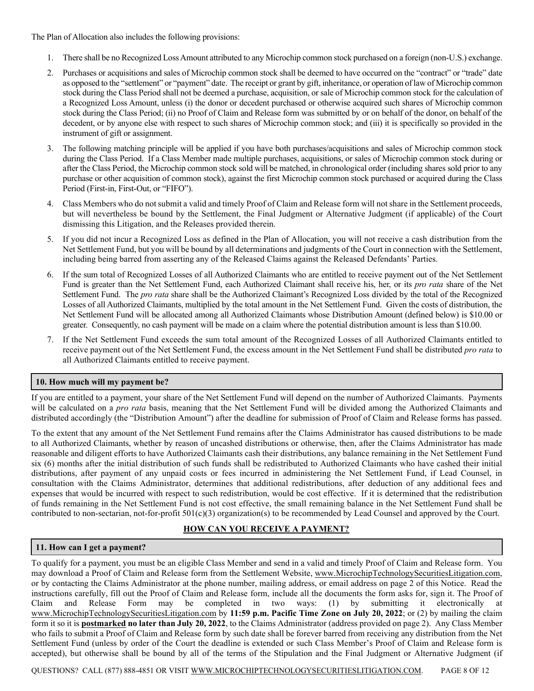The Plan of Allocation also includes the following provisions:

- 1. There shall be no Recognized Loss Amount attributed to any Microchip common stock purchased on a foreign (non-U.S.) exchange.
- 2. Purchases or acquisitions and sales of Microchip common stock shall be deemed to have occurred on the "contract" or "trade" date as opposed to the "settlement" or "payment" date. The receipt or grant by gift, inheritance, or operation of law of Microchip common stock during the Class Period shall not be deemed a purchase, acquisition, or sale of Microchip common stock for the calculation of a Recognized Loss Amount, unless (i) the donor or decedent purchased or otherwise acquired such shares of Microchip common stock during the Class Period; (ii) no Proof of Claim and Release form was submitted by or on behalf of the donor, on behalf of the decedent, or by anyone else with respect to such shares of Microchip common stock; and (iii) it is specifically so provided in the instrument of gift or assignment.
- 3. The following matching principle will be applied if you have both purchases/acquisitions and sales of Microchip common stock during the Class Period. If a Class Member made multiple purchases, acquisitions, or sales of Microchip common stock during or after the Class Period, the Microchip common stock sold will be matched, in chronological order (including shares sold prior to any purchase or other acquisition of common stock), against the first Microchip common stock purchased or acquired during the Class Period (First-in, First-Out, or "FIFO").
- 4. Class Members who do not submit a valid and timely Proof of Claim and Release form will not share in the Settlement proceeds, but will nevertheless be bound by the Settlement, the Final Judgment or Alternative Judgment (if applicable) of the Court dismissing this Litigation, and the Releases provided therein.
- 5. If you did not incur a Recognized Loss as defined in the Plan of Allocation, you will not receive a cash distribution from the Net Settlement Fund, but you will be bound by all determinations and judgments of the Court in connection with the Settlement, including being barred from asserting any of the Released Claims against the Released Defendants' Parties.
- 6. If the sum total of Recognized Losses of all Authorized Claimants who are entitled to receive payment out of the Net Settlement Fund is greater than the Net Settlement Fund, each Authorized Claimant shall receive his, her, or its *pro rata* share of the Net Settlement Fund. The *pro rata* share shall be the Authorized Claimant's Recognized Loss divided by the total of the Recognized Losses of all Authorized Claimants, multiplied by the total amount in the Net Settlement Fund. Given the costs of distribution, the Net Settlement Fund will be allocated among all Authorized Claimants whose Distribution Amount (defined below) is \$10.00 or greater. Consequently, no cash payment will be made on a claim where the potential distribution amount is less than \$10.00.
- 7. If the Net Settlement Fund exceeds the sum total amount of the Recognized Losses of all Authorized Claimants entitled to receive payment out of the Net Settlement Fund, the excess amount in the Net Settlement Fund shall be distributed *pro rata* to all Authorized Claimants entitled to receive payment.

### **10. How much will my payment be?**

If you are entitled to a payment, your share of the Net Settlement Fund will depend on the number of Authorized Claimants. Payments will be calculated on a *pro rata* basis, meaning that the Net Settlement Fund will be divided among the Authorized Claimants and distributed accordingly (the "Distribution Amount") after the deadline for submission of Proof of Claim and Release forms has passed.

To the extent that any amount of the Net Settlement Fund remains after the Claims Administrator has caused distributions to be made to all Authorized Claimants, whether by reason of uncashed distributions or otherwise, then, after the Claims Administrator has made reasonable and diligent efforts to have Authorized Claimants cash their distributions, any balance remaining in the Net Settlement Fund six (6) months after the initial distribution of such funds shall be redistributed to Authorized Claimants who have cashed their initial distributions, after payment of any unpaid costs or fees incurred in administering the Net Settlement Fund, if Lead Counsel, in consultation with the Claims Administrator, determines that additional redistributions, after deduction of any additional fees and expenses that would be incurred with respect to such redistribution, would be cost effective. If it is determined that the redistribution of funds remaining in the Net Settlement Fund is not cost effective, the small remaining balance in the Net Settlement Fund shall be contributed to non-sectarian, not-for-profit 501(c)(3) organization(s) to be recommended by Lead Counsel and approved by the Court.

### **HOW CAN YOU RECEIVE A PAYMENT?**

### **11. How can I get a payment?**

To qualify for a payment, you must be an eligible Class Member and send in a valid and timely Proof of Claim and Release form. You may download a Proof of Claim and Release form from the Settlement Website, www.MicrochipTechnologySecuritiesLitigation.com, or by contacting the Claims Administrator at the phone number, mailing address, or email address on page 2 of this Notice. Read the instructions carefully, fill out the Proof of Claim and Release form, include all the documents the form asks for, sign it. The Proof of Claim and Release Form may be completed in two ways: (1) by submitting it electronically at www.MicrochipTechnologySecuritiesLitigation.com by **11:59 p.m. Pacific Time Zone on July 20, 2022**; or (2) by mailing the claim form it so it is **postmarked no later than July 20, 2022**, to the Claims Administrator (address provided on page 2). Any Class Member who fails to submit a Proof of Claim and Release form by such date shall be forever barred from receiving any distribution from the Net Settlement Fund (unless by order of the Court the deadline is extended or such Class Member's Proof of Claim and Release form is accepted), but otherwise shall be bound by all of the terms of the Stipulation and the Final Judgment or Alternative Judgment (if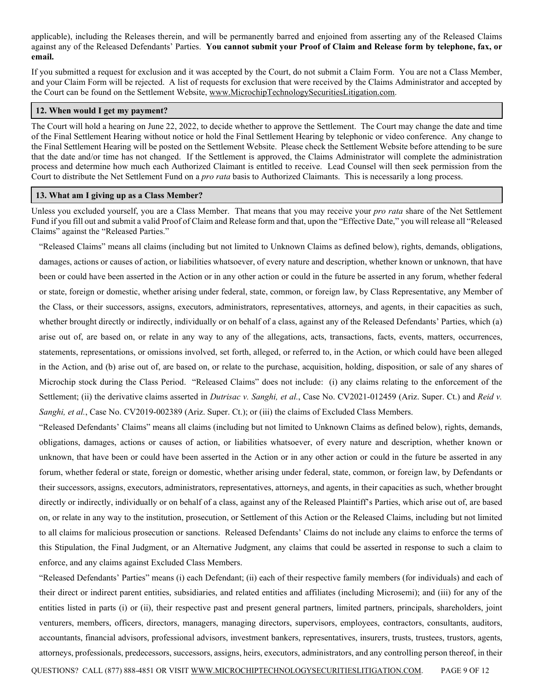applicable), including the Releases therein, and will be permanently barred and enjoined from asserting any of the Released Claims against any of the Released Defendants' Parties. **You cannot submit your Proof of Claim and Release form by telephone, fax, or email.** 

If you submitted a request for exclusion and it was accepted by the Court, do not submit a Claim Form. You are not a Class Member, and your Claim Form will be rejected. A list of requests for exclusion that were received by the Claims Administrator and accepted by the Court can be found on the Settlement Website, www.MicrochipTechnologySecuritiesLitigation.com.

#### **12. When would I get my payment?**

The Court will hold a hearing on June 22, 2022, to decide whether to approve the Settlement. The Court may change the date and time of the Final Settlement Hearing without notice or hold the Final Settlement Hearing by telephonic or video conference. Any change to the Final Settlement Hearing will be posted on the Settlement Website. Please check the Settlement Website before attending to be sure that the date and/or time has not changed. If the Settlement is approved, the Claims Administrator will complete the administration process and determine how much each Authorized Claimant is entitled to receive. Lead Counsel will then seek permission from the Court to distribute the Net Settlement Fund on a *pro rata* basis to Authorized Claimants. This is necessarily a long process.

#### **13. What am I giving up as a Class Member?**

Unless you excluded yourself, you are a Class Member. That means that you may receive your *pro rata* share of the Net Settlement Fund if you fill out and submit a valid Proof of Claim and Release form and that, upon the "Effective Date," you will release all "Released Claims" against the "Released Parties."

"Released Claims" means all claims (including but not limited to Unknown Claims as defined below), rights, demands, obligations, damages, actions or causes of action, or liabilities whatsoever, of every nature and description, whether known or unknown, that have been or could have been asserted in the Action or in any other action or could in the future be asserted in any forum, whether federal or state, foreign or domestic, whether arising under federal, state, common, or foreign law, by Class Representative, any Member of the Class, or their successors, assigns, executors, administrators, representatives, attorneys, and agents, in their capacities as such, whether brought directly or indirectly, individually or on behalf of a class, against any of the Released Defendants' Parties, which (a) arise out of, are based on, or relate in any way to any of the allegations, acts, transactions, facts, events, matters, occurrences, statements, representations, or omissions involved, set forth, alleged, or referred to, in the Action, or which could have been alleged in the Action, and (b) arise out of, are based on, or relate to the purchase, acquisition, holding, disposition, or sale of any shares of Microchip stock during the Class Period. "Released Claims" does not include: (i) any claims relating to the enforcement of the Settlement; (ii) the derivative claims asserted in *Dutrisac v. Sanghi, et al.*, Case No. CV2021-012459 (Ariz. Super. Ct.) and *Reid v. Sanghi, et al.*, Case No. CV2019-002389 (Ariz. Super. Ct.); or (iii) the claims of Excluded Class Members.

"Released Defendants' Claims" means all claims (including but not limited to Unknown Claims as defined below), rights, demands, obligations, damages, actions or causes of action, or liabilities whatsoever, of every nature and description, whether known or unknown, that have been or could have been asserted in the Action or in any other action or could in the future be asserted in any forum, whether federal or state, foreign or domestic, whether arising under federal, state, common, or foreign law, by Defendants or their successors, assigns, executors, administrators, representatives, attorneys, and agents, in their capacities as such, whether brought directly or indirectly, individually or on behalf of a class, against any of the Released Plaintiff's Parties, which arise out of, are based on, or relate in any way to the institution, prosecution, or Settlement of this Action or the Released Claims, including but not limited to all claims for malicious prosecution or sanctions. Released Defendants' Claims do not include any claims to enforce the terms of this Stipulation, the Final Judgment, or an Alternative Judgment, any claims that could be asserted in response to such a claim to enforce, and any claims against Excluded Class Members.

"Released Defendants' Parties" means (i) each Defendant; (ii) each of their respective family members (for individuals) and each of their direct or indirect parent entities, subsidiaries, and related entities and affiliates (including Microsemi); and (iii) for any of the entities listed in parts (i) or (ii), their respective past and present general partners, limited partners, principals, shareholders, joint venturers, members, officers, directors, managers, managing directors, supervisors, employees, contractors, consultants, auditors, accountants, financial advisors, professional advisors, investment bankers, representatives, insurers, trusts, trustees, trustors, agents, attorneys, professionals, predecessors, successors, assigns, heirs, executors, administrators, and any controlling person thereof, in their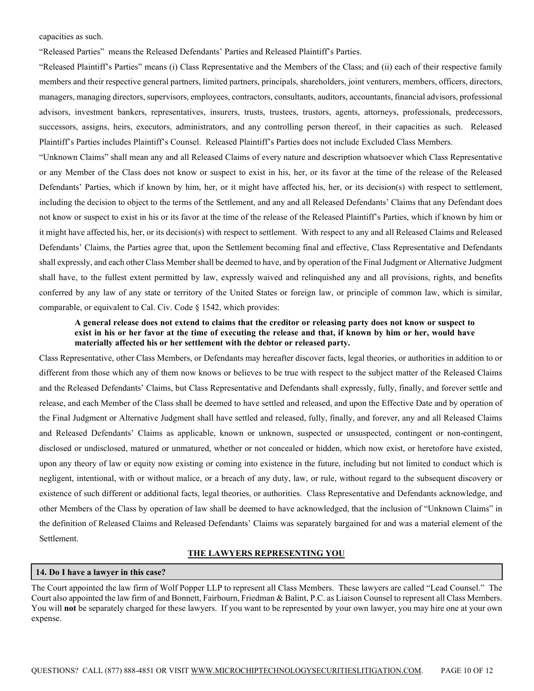capacities as such.

"Released Parties" means the Released Defendants' Parties and Released Plaintiff's Parties.

"Released Plaintiff's Parties" means (i) Class Representative and the Members of the Class; and (ii) each of their respective family members and their respective general partners, limited partners, principals, shareholders, joint venturers, members, officers, directors, managers, managing directors, supervisors, employees, contractors, consultants, auditors, accountants, financial advisors, professional advisors, investment bankers, representatives, insurers, trusts, trustees, trustors, agents, attorneys, professionals, predecessors, successors, assigns, heirs, executors, administrators, and any controlling person thereof, in their capacities as such. Released Plaintiff's Parties includes Plaintiff's Counsel. Released Plaintiff's Parties does not include Excluded Class Members.

"Unknown Claims" shall mean any and all Released Claims of every nature and description whatsoever which Class Representative or any Member of the Class does not know or suspect to exist in his, her, or its favor at the time of the release of the Released Defendants' Parties, which if known by him, her, or it might have affected his, her, or its decision(s) with respect to settlement, including the decision to object to the terms of the Settlement, and any and all Released Defendants' Claims that any Defendant does not know or suspect to exist in his or its favor at the time of the release of the Released Plaintiff's Parties, which if known by him or it might have affected his, her, or its decision(s) with respect to settlement. With respect to any and all Released Claims and Released Defendants' Claims, the Parties agree that, upon the Settlement becoming final and effective, Class Representative and Defendants shall expressly, and each other Class Member shall be deemed to have, and by operation of the Final Judgment or Alternative Judgment shall have, to the fullest extent permitted by law, expressly waived and relinquished any and all provisions, rights, and benefits conferred by any law of any state or territory of the United States or foreign law, or principle of common law, which is similar, comparable, or equivalent to Cal. Civ. Code § 1542, which provides:

### **A general release does not extend to claims that the creditor or releasing party does not know or suspect to exist in his or her favor at the time of executing the release and that, if known by him or her, would have materially affected his or her settlement with the debtor or released party.**

Class Representative, other Class Members, or Defendants may hereafter discover facts, legal theories, or authorities in addition to or different from those which any of them now knows or believes to be true with respect to the subject matter of the Released Claims and the Released Defendants' Claims, but Class Representative and Defendants shall expressly, fully, finally, and forever settle and release, and each Member of the Class shall be deemed to have settled and released, and upon the Effective Date and by operation of the Final Judgment or Alternative Judgment shall have settled and released, fully, finally, and forever, any and all Released Claims and Released Defendants' Claims as applicable, known or unknown, suspected or unsuspected, contingent or non-contingent, disclosed or undisclosed, matured or unmatured, whether or not concealed or hidden, which now exist, or heretofore have existed, upon any theory of law or equity now existing or coming into existence in the future, including but not limited to conduct which is negligent, intentional, with or without malice, or a breach of any duty, law, or rule, without regard to the subsequent discovery or existence of such different or additional facts, legal theories, or authorities. Class Representative and Defendants acknowledge, and other Members of the Class by operation of law shall be deemed to have acknowledged, that the inclusion of "Unknown Claims" in the definition of Released Claims and Released Defendants' Claims was separately bargained for and was a material element of the Settlement.

### **THE LAWYERS REPRESENTING YOU**

#### **14. Do I have a lawyer in this case?**

The Court appointed the law firm of Wolf Popper LLP to represent all Class Members. These lawyers are called "Lead Counsel." The Court also appointed the law firm of and Bonnett, Fairbourn, Friedman & Balint, P.C. as Liaison Counsel to represent all Class Members. You will **not** be separately charged for these lawyers. If you want to be represented by your own lawyer, you may hire one at your own expense.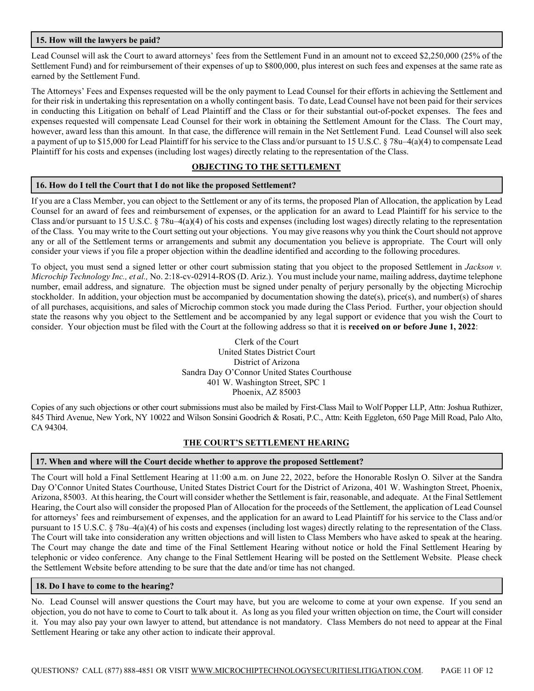### **15. How will the lawyers be paid?**

Lead Counsel will ask the Court to award attorneys' fees from the Settlement Fund in an amount not to exceed \$2,250,000 (25% of the Settlement Fund) and for reimbursement of their expenses of up to \$800,000, plus interest on such fees and expenses at the same rate as earned by the Settlement Fund.

The Attorneys' Fees and Expenses requested will be the only payment to Lead Counsel for their efforts in achieving the Settlement and for their risk in undertaking this representation on a wholly contingent basis. To date, Lead Counsel have not been paid for their services in conducting this Litigation on behalf of Lead Plaintiff and the Class or for their substantial out-of-pocket expenses. The fees and expenses requested will compensate Lead Counsel for their work in obtaining the Settlement Amount for the Class. The Court may, however, award less than this amount. In that case, the difference will remain in the Net Settlement Fund. Lead Counsel will also seek a payment of up to \$15,000 for Lead Plaintiff for his service to the Class and/or pursuant to 15 U.S.C. § 78u–4(a)(4) to compensate Lead Plaintiff for his costs and expenses (including lost wages) directly relating to the representation of the Class.

### **OBJECTING TO THE SETTLEMENT**

#### **16. How do I tell the Court that I do not like the proposed Settlement?**

If you are a Class Member, you can object to the Settlement or any of its terms, the proposed Plan of Allocation, the application by Lead Counsel for an award of fees and reimbursement of expenses, or the application for an award to Lead Plaintiff for his service to the Class and/or pursuant to 15 U.S.C. § 78u–4(a)(4) of his costs and expenses (including lost wages) directly relating to the representation of the Class. You may write to the Court setting out your objections. You may give reasons why you think the Court should not approve any or all of the Settlement terms or arrangements and submit any documentation you believe is appropriate. The Court will only consider your views if you file a proper objection within the deadline identified and according to the following procedures.

To object, you must send a signed letter or other court submission stating that you object to the proposed Settlement in *Jackson v. Microchip Technology Inc., et al.,* No. 2:18-cv-02914-ROS (D. Ariz.). You must include your name, mailing address, daytime telephone number, email address, and signature. The objection must be signed under penalty of perjury personally by the objecting Microchip stockholder. In addition, your objection must be accompanied by documentation showing the date(s), price(s), and number(s) of shares of all purchases, acquisitions, and sales of Microchip common stock you made during the Class Period. Further, your objection should state the reasons why you object to the Settlement and be accompanied by any legal support or evidence that you wish the Court to consider. Your objection must be filed with the Court at the following address so that it is **received on or before June 1, 2022**:

> Clerk of the Court United States District Court District of Arizona Sandra Day O'Connor United States Courthouse 401 W. Washington Street, SPC 1 Phoenix, AZ 85003

Copies of any such objections or other court submissions must also be mailed by First-Class Mail to Wolf Popper LLP, Attn: Joshua Ruthizer, 845 Third Avenue, New York, NY 10022 and Wilson Sonsini Goodrich & Rosati, P.C., Attn: Keith Eggleton, 650 Page Mill Road, Palo Alto, CA 94304.

#### **THE COURT'S SETTLEMENT HEARING**

### **17. When and where will the Court decide whether to approve the proposed Settlement?**

The Court will hold a Final Settlement Hearing at 11:00 a.m. on June 22, 2022, before the Honorable Roslyn O. Silver at the Sandra Day O'Connor United States Courthouse, United States District Court for the District of Arizona, 401 W. Washington Street, Phoenix, Arizona, 85003. At this hearing, the Court will consider whether the Settlement is fair, reasonable, and adequate. At the Final Settlement Hearing, the Court also will consider the proposed Plan of Allocation for the proceeds of the Settlement, the application of Lead Counsel for attorneys' fees and reimbursement of expenses, and the application for an award to Lead Plaintiff for his service to the Class and/or pursuant to 15 U.S.C. § 78u–4(a)(4) of his costs and expenses (including lost wages) directly relating to the representation of the Class. The Court will take into consideration any written objections and will listen to Class Members who have asked to speak at the hearing. The Court may change the date and time of the Final Settlement Hearing without notice or hold the Final Settlement Hearing by telephonic or video conference. Any change to the Final Settlement Hearing will be posted on the Settlement Website. Please check the Settlement Website before attending to be sure that the date and/or time has not changed.

#### **18. Do I have to come to the hearing?**

No. Lead Counsel will answer questions the Court may have, but you are welcome to come at your own expense. If you send an objection, you do not have to come to Court to talk about it. As long as you filed your written objection on time, the Court will consider it. You may also pay your own lawyer to attend, but attendance is not mandatory. Class Members do not need to appear at the Final Settlement Hearing or take any other action to indicate their approval.